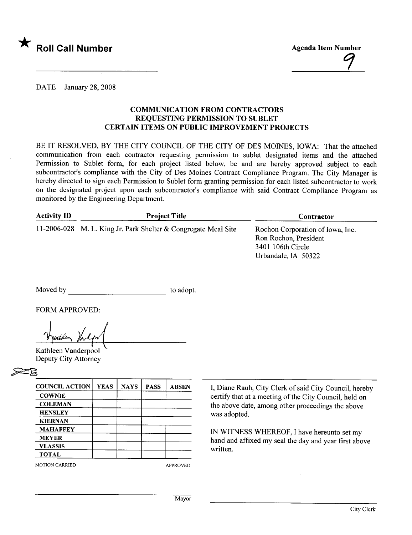

Agenda Item Number  $\frac{1}{2}$ 

DATE January 28, 2008

## COMMUNICATION FROM CONTRACTORS REQUESTING PERMISSION TO SUBLET CERTAIN ITEMS ON PUBLIC IMPROVEMENT PROJECTS

BE IT RESOLVED, BY THE CITY COUNCIL OF THE CITY OF DES MOINES, IOWA: That the attached communication from each contractor requesting permission to sublet designated items and the attached Permission to Sublet form, for each project listed below, be and are hereby approved subject to each subcontractor's compliance with the City of Des Moines Contract Compliance Program. The City Manager is hereby directed to sign each Permission to Sublet form granting permission for each listed subcontractor to work on the designated project upon each subcontractor's compliance with said Contract Compliance Program as monitored by the Engineering Department.

| <b>Activity ID</b> | <b>Project Title</b>                                           | Contractor                                                                                            |  |  |
|--------------------|----------------------------------------------------------------|-------------------------------------------------------------------------------------------------------|--|--|
|                    | 11-2006-028 M. L. King Jr. Park Shelter & Congregate Meal Site | Rochon Corporation of Iowa, Inc.<br>Ron Rochon, President<br>3401 106th Circle<br>Urbandale, IA 50322 |  |  |

Moved by to adopt.

FORM APPROVED:

FORM APPROVED:<br>Vertilen Vanlyn

 $V$   $\mu$ 

| <b>COUNCIL ACTION</b> | <b>YEAS</b> | <b>NAYS</b> | <b>PASS</b> | <b>ABSEN</b>    |  |
|-----------------------|-------------|-------------|-------------|-----------------|--|
| <b>COWNIE</b>         |             |             |             |                 |  |
| <b>COLEMAN</b>        |             |             |             |                 |  |
| <b>HENSLEY</b>        |             |             |             |                 |  |
| <b>KIERNAN</b>        |             |             |             |                 |  |
| <b>MAHAFFEY</b>       |             |             |             |                 |  |
| <b>MEYER</b>          |             |             |             |                 |  |
| <b>VLASSIS</b>        |             |             |             |                 |  |
| <b>TOTAL</b>          |             |             |             |                 |  |
| <b>MOTION CARRIED</b> |             |             |             | <b>APPROVED</b> |  |

I, Diane Rauh, City Clerk of said City Council, hereby certify that at a meeting of the City Council, held on the above date, among other proceedings the above was adopted.

IN WITNESS WHEREOF, I have hereunto set my hand and affxed my seal the day and year first above written.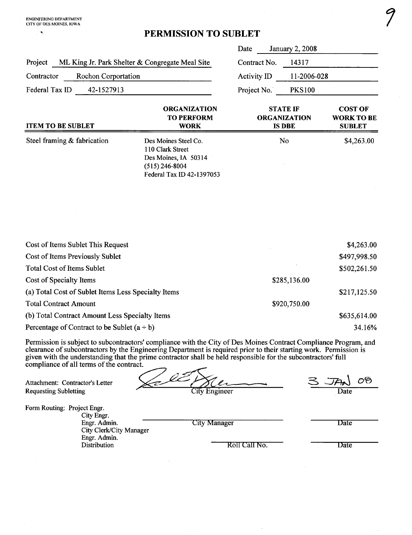## <sup>~</sup> PERMISSION TO SUBLET

|                                                                                                                                                                                                                                                                                                                                                                                                    |                                                                                                                   | Date          | <b>January 2, 2008</b>                                  |                                                      |  |
|----------------------------------------------------------------------------------------------------------------------------------------------------------------------------------------------------------------------------------------------------------------------------------------------------------------------------------------------------------------------------------------------------|-------------------------------------------------------------------------------------------------------------------|---------------|---------------------------------------------------------|------------------------------------------------------|--|
| Project<br>ML King Jr. Park Shelter & Congregate Meal Site                                                                                                                                                                                                                                                                                                                                         | Contract No.                                                                                                      | 14317         |                                                         |                                                      |  |
| Contractor<br><b>Rochon Corportation</b>                                                                                                                                                                                                                                                                                                                                                           | Activity ID                                                                                                       |               | 11-2006-028                                             |                                                      |  |
| Federal Tax ID<br>42-1527913                                                                                                                                                                                                                                                                                                                                                                       |                                                                                                                   | Project No.   | <b>PKS100</b>                                           |                                                      |  |
| <b>ITEM TO BE SUBLET</b>                                                                                                                                                                                                                                                                                                                                                                           | <b>ORGANIZATION</b><br><b>TO PERFORM</b><br><b>WORK</b>                                                           |               | <b>STATE IF</b><br><b>ORGANIZATION</b><br><b>IS DBE</b> | <b>COST OF</b><br><b>WORK TO BE</b><br><b>SUBLET</b> |  |
| Steel framing & fabrication                                                                                                                                                                                                                                                                                                                                                                        | Des Moines Steel Co.<br>110 Clark Street<br>Des Moines, IA 50314<br>$(515)$ 246-8004<br>Federal Tax ID 42-1397053 |               | No                                                      | \$4,263.00                                           |  |
| Cost of Items Sublet This Request                                                                                                                                                                                                                                                                                                                                                                  |                                                                                                                   |               |                                                         | \$4,263.00                                           |  |
| Cost of Items Previously Sublet                                                                                                                                                                                                                                                                                                                                                                    |                                                                                                                   | \$497,998.50  |                                                         |                                                      |  |
| <b>Total Cost of Items Sublet</b>                                                                                                                                                                                                                                                                                                                                                                  | \$502,261.50                                                                                                      |               |                                                         |                                                      |  |
| Cost of Specialty Items                                                                                                                                                                                                                                                                                                                                                                            |                                                                                                                   | \$285,136.00  |                                                         |                                                      |  |
| (a) Total Cost of Sublet Items Less Specialty Items                                                                                                                                                                                                                                                                                                                                                |                                                                                                                   |               |                                                         | \$217,125.50                                         |  |
| <b>Total Contract Amount</b>                                                                                                                                                                                                                                                                                                                                                                       |                                                                                                                   | \$920,750.00  |                                                         |                                                      |  |
| (b) Total Contract Amount Less Specialty Items                                                                                                                                                                                                                                                                                                                                                     |                                                                                                                   | \$635,614.00  |                                                         |                                                      |  |
| Percentage of Contract to be Sublet $(a \div b)$                                                                                                                                                                                                                                                                                                                                                   |                                                                                                                   |               |                                                         | 34.16%                                               |  |
| Permission is subject to subcontractors' compliance with the City of Des Moines Contract Compliance Program, and<br>clearance of subcontractors by the Engineering Department is required prior to their starting work. Permission is<br>given with the understanding that the prime contractor shall be held responsible for the subcontractors' full<br>compliance of all terms of the contract. |                                                                                                                   |               |                                                         |                                                      |  |
| Attachment: Contractor's Letter<br><b>Requesting Subletting</b>                                                                                                                                                                                                                                                                                                                                    | City Engineer                                                                                                     |               |                                                         |                                                      |  |
| Form Routing: Project Engr.<br>City Engr.                                                                                                                                                                                                                                                                                                                                                          |                                                                                                                   |               |                                                         |                                                      |  |
| Engr. Admin.<br>City Clerk/City Manager                                                                                                                                                                                                                                                                                                                                                            | <b>City Manager</b>                                                                                               |               |                                                         | Date                                                 |  |
| Engr. Admin.<br>Distribution                                                                                                                                                                                                                                                                                                                                                                       |                                                                                                                   | Roll Call No. |                                                         | Date                                                 |  |

 $\ddot{\phantom{a}}$ 

/